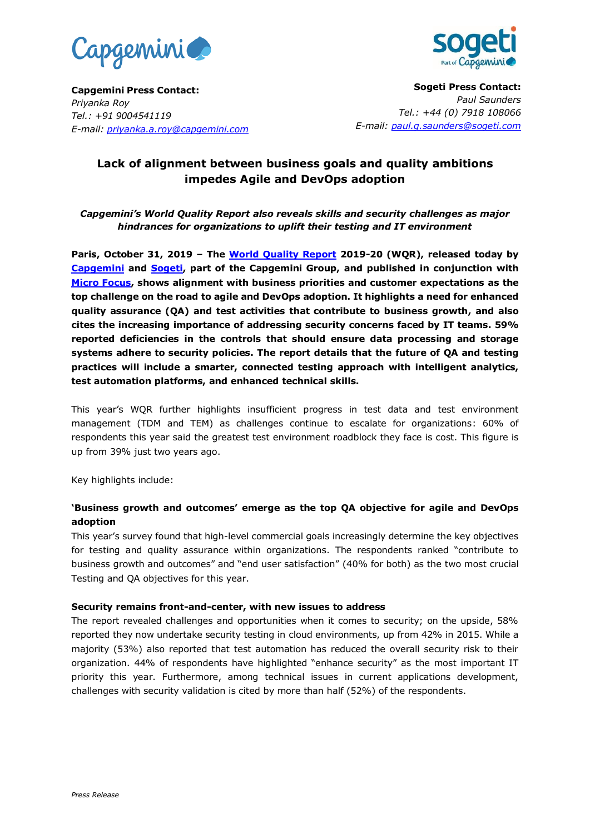



**Capgemini Press Contact:**  *Priyanka Roy Tel.: +91 9004541119 E-mail: priyanka.a.roy@capgemini.com*

**Sogeti Press Contact:** *Paul Saunders Tel.: +44 (0) 7918 108066 E-mail: [paul.g.saunders@sogeti.com](mailto:paul.g.saunders@sogeti.com)*

# **Lack of alignment between business goals and quality ambitions impedes Agile and DevOps adoption**

*Capgemini's World Quality Report also reveals skills and security challenges as major hindrances for organizations to uplift their testing and IT environment*

**Paris, October 31, 2019 – The [World Quality Report](https://www.capgemini.com/research/world-quality-report-2019/?utm_source=pr&utm_medium=referral&utm_content=testing_none_none_pressrelease_none&utm_campaign=other_wqr) 2019-20 (WQR), released today by [Capgemini](https://www.capgemini.com/) and [Sogeti,](http://www.sogeti.com/) part of the Capgemini Group, and published in conjunction with [Micro Focus,](https://www.microfocus.com/en-us/home) shows alignment with business priorities and customer expectations as the top challenge on the road to agile and DevOps adoption. It highlights a need for enhanced quality assurance (QA) and test activities that contribute to business growth, and also cites the increasing importance of addressing security concerns faced by IT teams. 59% reported deficiencies in the controls that should ensure data processing and storage systems adhere to security policies. The report details that the future of QA and testing practices will include a smarter, connected testing approach with intelligent analytics, test automation platforms, and enhanced technical skills.**

This year's WQR further highlights insufficient progress in test data and test environment management (TDM and TEM) as challenges continue to escalate for organizations: 60% of respondents this year said the greatest test environment roadblock they face is cost. This figure is up from 39% just two years ago.

Key highlights include:

## **'Business growth and outcomes' emerge as the top QA objective for agile and DevOps adoption**

This year's survey found that high-level commercial goals increasingly determine the key objectives for testing and quality assurance within organizations. The respondents ranked "contribute to business growth and outcomes" and "end user satisfaction" (40% for both) as the two most crucial Testing and QA objectives for this year.

## **Security remains front-and-center, with new issues to address**

The report revealed challenges and opportunities when it comes to security; on the upside, 58% reported they now undertake security testing in cloud environments, up from 42% in 2015. While a majority (53%) also reported that test automation has reduced the overall security risk to their organization. 44% of respondents have highlighted "enhance security" as the most important IT priority this year. Furthermore, among technical issues in current applications development, challenges with security validation is cited by more than half (52%) of the respondents.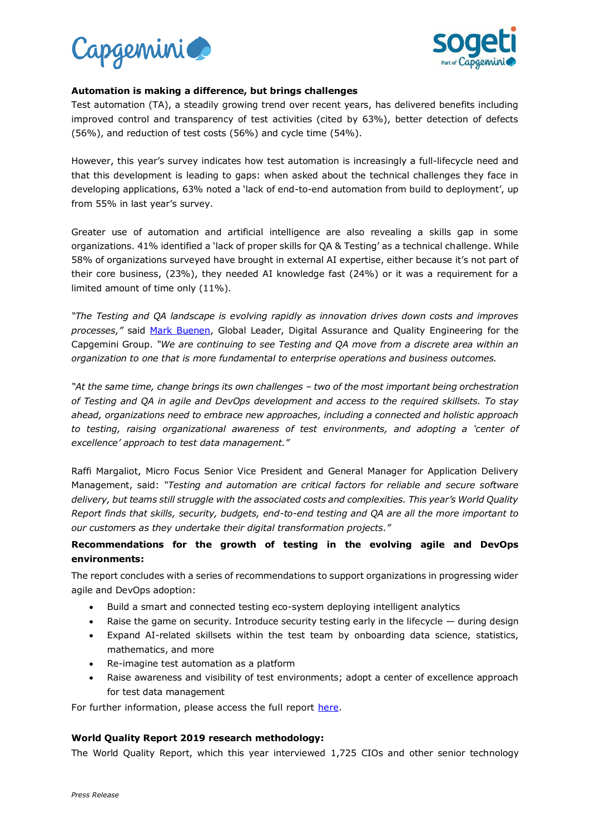



#### **Automation is making a difference, but brings challenges**

Test automation (TA), a steadily growing trend over recent years, has delivered benefits including improved control and transparency of test activities (cited by 63%), better detection of defects (56%), and reduction of test costs (56%) and cycle time (54%).

However, this year's survey indicates how test automation is increasingly a full-lifecycle need and that this development is leading to gaps: when asked about the technical challenges they face in developing applications, 63% noted a 'lack of end-to-end automation from build to deployment', up from 55% in last year's survey.

Greater use of automation and artificial intelligence are also revealing a skills gap in some organizations. 41% identified a 'lack of proper skills for QA & Testing' as a technical challenge. While 58% of organizations surveyed have brought in external AI expertise, either because it's not part of their core business, (23%), they needed AI knowledge fast (24%) or it was a requirement for a limited amount of time only (11%).

*"The Testing and QA landscape is evolving rapidly as innovation drives down costs and improves processes,"* said [Mark Buenen,](https://www.capgemini.com/experts/testing/mark-buenen/) Global Leader, Digital Assurance and Quality Engineering for the Capgemini Group. *"We are continuing to see Testing and QA move from a discrete area within an organization to one that is more fundamental to enterprise operations and business outcomes.*

*"At the same time, change brings its own challenges – two of the most important being orchestration of Testing and QA in agile and DevOps development and access to the required skillsets. To stay ahead, organizations need to embrace new approaches, including a connected and holistic approach to testing, raising organizational awareness of test environments, and adopting a 'center of excellence' approach to test data management."*

Raffi Margaliot, Micro Focus Senior Vice President and General Manager for Application Delivery Management, said: *"Testing and automation are critical factors for reliable and secure software delivery, but teams still struggle with the associated costs and complexities. This year's World Quality Report finds that skills, security, budgets, end-to-end testing and QA are all the more important to our customers as they undertake their digital transformation projects."*

## **Recommendations for the growth of testing in the evolving agile and DevOps environments:**

The report concludes with a series of recommendations to support organizations in progressing wider agile and DevOps adoption:

- Build a smart and connected testing eco-system deploying intelligent analytics
- Raise the game on security. Introduce security testing early in the lifecycle during design
- Expand AI-related skillsets within the test team by onboarding data science, statistics, mathematics, and more
- Re-imagine test automation as a platform
- Raise awareness and visibility of test environments; adopt a center of excellence approach for test data management

For further information, please access the full report [here.](https://www.capgemini.com/research/world-quality-report-2019/?utm_source=pr&utm_medium=referral&utm_content=testing_none_none_pressrelease_none&utm_campaign=other_wqr)

## **World Quality Report 2019 research methodology:**

The World Quality Report, which this year interviewed 1,725 CIOs and other senior technology